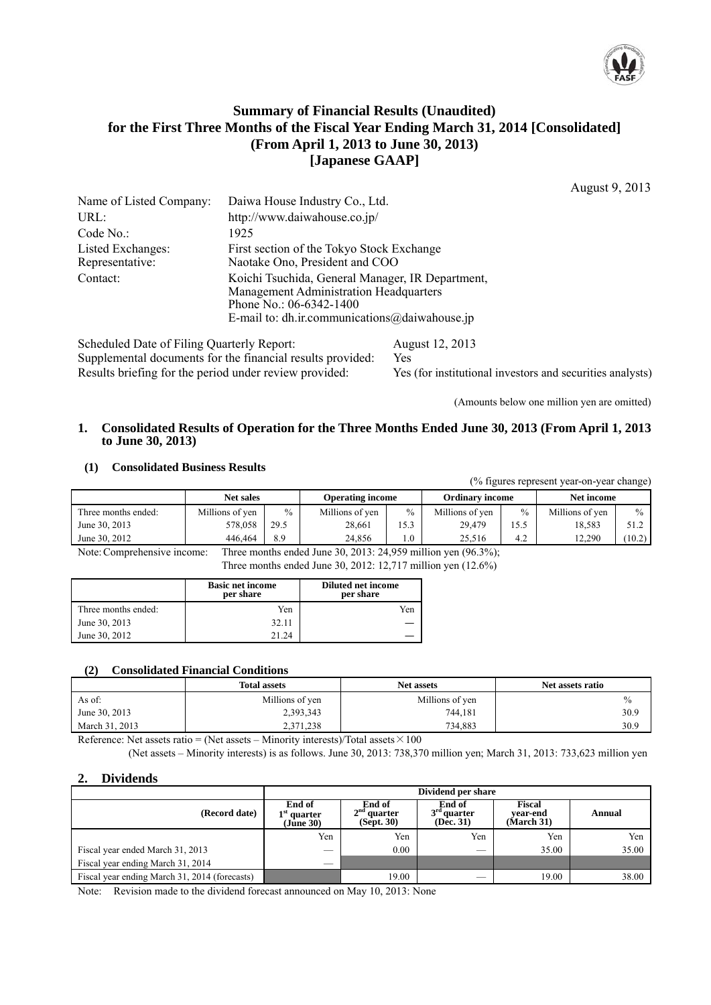

# **Summary of Financial Results (Unaudited) for the First Three Months of the Fiscal Year Ending March 31, 2014 [Consolidated] (From April 1, 2013 to June 30, 2013) [Japanese GAAP]**

August 9, 2013

|                                            |                                                                                                                                                                                 |                        | 1.1474517772015 |
|--------------------------------------------|---------------------------------------------------------------------------------------------------------------------------------------------------------------------------------|------------------------|-----------------|
| Name of Listed Company:                    | Daiwa House Industry Co., Ltd.                                                                                                                                                  |                        |                 |
| URL:                                       | http://www.daiwahouse.co.jp/                                                                                                                                                    |                        |                 |
| Code No.:                                  | 1925                                                                                                                                                                            |                        |                 |
| Listed Exchanges:<br>Representative:       | First section of the Tokyo Stock Exchange<br>Naotake Ono, President and COO                                                                                                     |                        |                 |
| Contact:                                   | Koichi Tsuchida, General Manager, IR Department,<br><b>Management Administration Headquarters</b><br>Phone No.: $06-6342-1400$<br>E-mail to: dh.ir.communications@daiwahouse.jp |                        |                 |
| Scheduled Date of Filing Quarterly Report: | Supplemental documents for the financial results provided:                                                                                                                      | August 12, 2013<br>Yes |                 |

Results briefing for the period under review provided: Yes (for institutional investors and securities analysts)

(Amounts below one million yen are omitted)

## **1. Consolidated Results of Operation for the Three Months Ended June 30, 2013 (From April 1, 2013 to June 30, 2013)**

#### **(1) Consolidated Business Results**

| (% figures represent year-on-year change) |                  |      |                         |               |                        |      |                 |               |
|-------------------------------------------|------------------|------|-------------------------|---------------|------------------------|------|-----------------|---------------|
|                                           | <b>Net sales</b> |      | <b>Operating income</b> |               | <b>Ordinary income</b> |      | Net income      |               |
| Three months ended:                       | Millions of yen  | $\%$ | Millions of yen         | $\frac{0}{0}$ | Millions of yen        | $\%$ | Millions of yen | $\frac{0}{0}$ |
| June 30, 2013                             | 578.058          | 29.5 | 28.661                  | 15.3          | 29.479                 | 15.5 | 18.583          | 51.2          |
| June 30, 2012                             | 446.464          | 8.9  | 24.856                  | $1.0\,$       | 25.516                 | 4.2  | 12.290          | (10.2)        |
|                                           |                  |      |                         |               | .                      |      |                 |               |

Note: Comprehensive income: Three months ended June 30, 2013: 24,959 million yen (96.3%); Three months ended June 30, 2012: 12,717 million yen (12.6%)

|                     | <b>Basic net income</b><br>per share | <b>Diluted net income</b><br>per share |
|---------------------|--------------------------------------|----------------------------------------|
| Three months ended: | Yen                                  | Yen                                    |
| June 30, 2013       | 32.11                                |                                        |
| June 30, 2012       | 21 24                                |                                        |

#### **(2) Consolidated Financial Conditions**

|                | <b>Total assets</b> | <b>Net assets</b> | Net assets ratio |
|----------------|---------------------|-------------------|------------------|
| As of:         | Millions of yen     | Millions of yen   | $\%$             |
| June 30, 2013  | 2,393,343           | 744.181           | 30.9             |
| March 31, 2013 | 2,371,238           | 734,883           | 30.9             |

Reference: Net assets ratio = (Net assets – Minority interests)/Total assets  $\times 100$ 

(Net assets – Minority interests) is as follows. June 30, 2013: 738,370 million yen; March 31, 2013: 733,623 million yen

## **2. Dividends**

|                                               | Dividend per share                   |                                       |                                      |                                |        |  |  |  |
|-----------------------------------------------|--------------------------------------|---------------------------------------|--------------------------------------|--------------------------------|--------|--|--|--|
| (Record date)                                 | End of<br>$1st$ quarter<br>(Jūne 30) | End of<br>$2nd$ quarter<br>(Sept. 30) | End of<br>$3rd$ quarter<br>(Dec. 31) | Fiscal<br>vear-end<br>March 31 | Annual |  |  |  |
|                                               | Yen                                  | Yen                                   | Yen                                  | Yen                            | Yen    |  |  |  |
| Fiscal year ended March 31, 2013              | __                                   | 0.00                                  | $\overline{\phantom{a}}$             | 35.00                          | 35.00  |  |  |  |
| Fiscal year ending March 31, 2014             | _                                    |                                       |                                      |                                |        |  |  |  |
| Fiscal year ending March 31, 2014 (forecasts) |                                      | 19.00                                 |                                      | 19.00                          | 38.00  |  |  |  |

Note: Revision made to the dividend forecast announced on May 10, 2013: None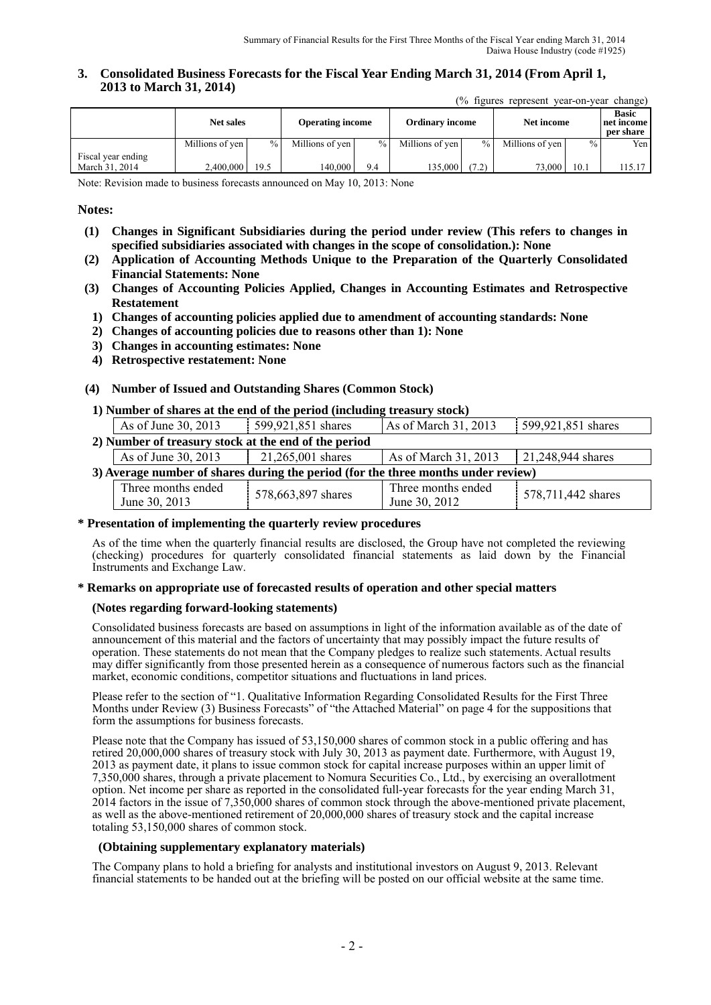**3. Consolidated Business Forecasts for the Fiscal Year Ending March 31, 2014 (From April 1, 2013 to March 31, 2014)**   $(0)$  figures represent year on year change)

| 70 riguies represent veal-on-veal change) |                  |      |                         |      |                        |               |                 |               |                                         |
|-------------------------------------------|------------------|------|-------------------------|------|------------------------|---------------|-----------------|---------------|-----------------------------------------|
|                                           | <b>Net sales</b> |      | <b>Operating income</b> |      | <b>Ordinary income</b> |               | Net income      |               | <b>Basic</b><br>net income<br>per share |
|                                           | Millions of yen  | $\%$ | Millions of yen         | $\%$ | Millions of yen        | $\frac{9}{6}$ | Millions of ven | $\frac{0}{0}$ | Yen l                                   |
| Fiscal year ending<br>March 31, 2014      | 2.400.000        | 19.5 | 140.000                 | 9.4  | 135.000                | (7.2)         | 73,000          | 10.1          | 115.17                                  |
|                                           |                  |      |                         |      |                        |               |                 |               |                                         |

Note: Revision made to business forecasts announced on May 10, 2013: None

#### **Notes:**

- **(1) Changes in Significant Subsidiaries during the period under review (This refers to changes in specified subsidiaries associated with changes in the scope of consolidation.): None**
- **(2) Application of Accounting Methods Unique to the Preparation of the Quarterly Consolidated Financial Statements: None**
- **(3) Changes of Accounting Policies Applied, Changes in Accounting Estimates and Retrospective Restatement**
- **1) Changes of accounting policies applied due to amendment of accounting standards: None**
- **2) Changes of accounting policies due to reasons other than 1): None**
- **3) Changes in accounting estimates: None**
- **4) Retrospective restatement: None**

#### **(4) Number of Issued and Outstanding Shares (Common Stock)**

#### **1) Number of shares at the end of the period (including treasury stock)**

|                                                                                   | As of June 30, 2013                                  | 599,921,851 shares | As of March 31, 2013 | 599,921,851 shares |  |
|-----------------------------------------------------------------------------------|------------------------------------------------------|--------------------|----------------------|--------------------|--|
|                                                                                   | 2) Number of treasury stock at the end of the period |                    |                      |                    |  |
|                                                                                   | As of June 30, 2013                                  | 21,265,001 shares  | As of March 31, 2013 | 21,248,944 shares  |  |
| 3) Average number of shares during the period (for the three months under review) |                                                      |                    |                      |                    |  |
|                                                                                   | Three months ended                                   | 578,663,897 shares | Three months ended   | 578,711,442 shares |  |
|                                                                                   | June 30, 2013                                        |                    | June 30, 2012        |                    |  |

#### **\* Presentation of implementing the quarterly review procedures**

As of the time when the quarterly financial results are disclosed, the Group have not completed the reviewing (checking) procedures for quarterly consolidated financial statements as laid down by the Financial Instruments and Exchange Law.

#### **\* Remarks on appropriate use of forecasted results of operation and other special matters**

#### **(Notes regarding forward-looking statements)**

Consolidated business forecasts are based on assumptions in light of the information available as of the date of announcement of this material and the factors of uncertainty that may possibly impact the future results of operation. These statements do not mean that the Company pledges to realize such statements. Actual results may differ significantly from those presented herein as a consequence of numerous factors such as the financial market, economic conditions, competitor situations and fluctuations in land prices.

Please refer to the section of "1. Qualitative Information Regarding Consolidated Results for the First Three Months under Review (3) Business Forecasts" of "the Attached Material" on page 4 for the suppositions that form the assumptions for business forecasts.

Please note that the Company has issued of 53,150,000 shares of common stock in a public offering and has retired 20,000,000 shares of treasury stock with July 30, 2013 as payment date. Furthermore, with August 19, 2013 as payment date, it plans to issue common stock for capital increase purposes within an upper limit of 7,350,000 shares, through a private placement to Nomura Securities Co., Ltd., by exercising an overallotment option. Net income per share as reported in the consolidated full-year forecasts for the year ending March 31, 2014 factors in the issue of 7,350,000 shares of common stock through the above-mentioned private placement, as well as the above-mentioned retirement of 20,000,000 shares of treasury stock and the capital increase totaling 53,150,000 shares of common stock.

#### **(Obtaining supplementary explanatory materials)**

The Company plans to hold a briefing for analysts and institutional investors on August 9, 2013. Relevant financial statements to be handed out at the briefing will be posted on our official website at the same time.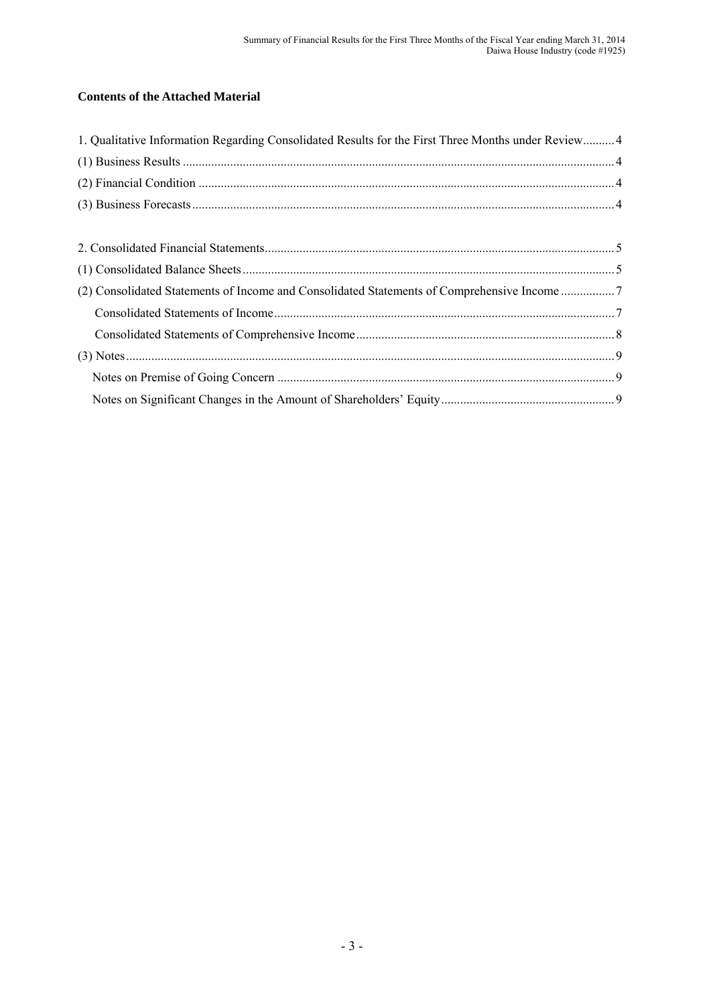# **Contents of the Attached Material**

| 1. Qualitative Information Regarding Consolidated Results for the First Three Months under Review 4 |  |
|-----------------------------------------------------------------------------------------------------|--|
|                                                                                                     |  |
|                                                                                                     |  |
|                                                                                                     |  |
|                                                                                                     |  |
|                                                                                                     |  |
|                                                                                                     |  |
| (2) Consolidated Statements of Income and Consolidated Statements of Comprehensive Income 7         |  |
|                                                                                                     |  |
|                                                                                                     |  |
|                                                                                                     |  |
|                                                                                                     |  |
|                                                                                                     |  |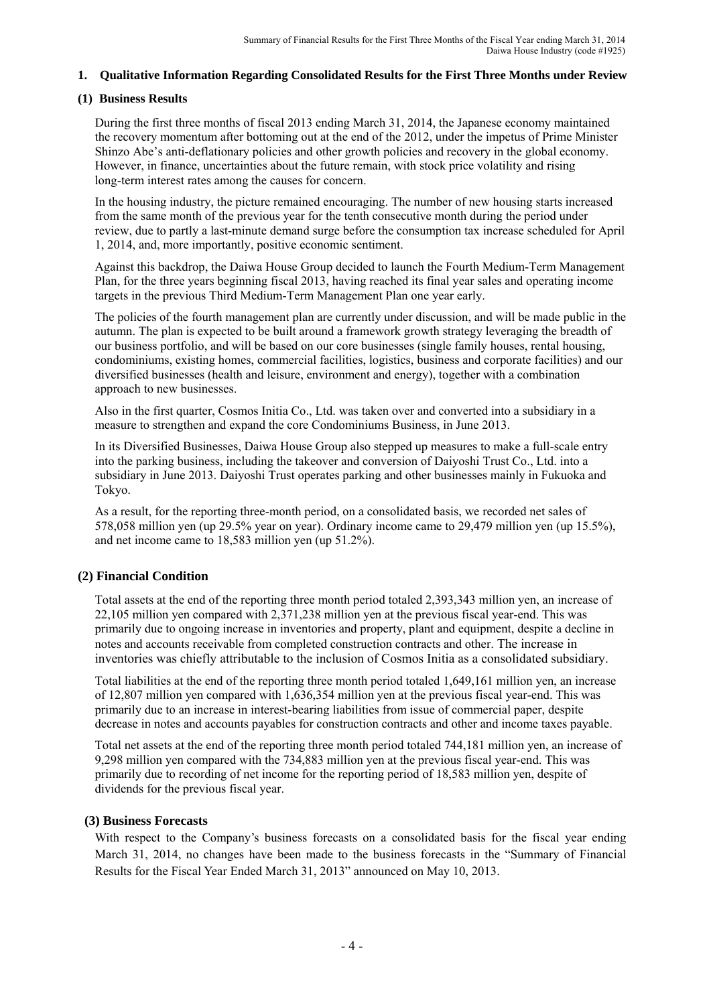## **1. Qualitative Information Regarding Consolidated Results for the First Three Months under Review**

## **(1) Business Results**

During the first three months of fiscal 2013 ending March 31, 2014, the Japanese economy maintained the recovery momentum after bottoming out at the end of the 2012, under the impetus of Prime Minister Shinzo Abe's anti-deflationary policies and other growth policies and recovery in the global economy. However, in finance, uncertainties about the future remain, with stock price volatility and rising long-term interest rates among the causes for concern.

In the housing industry, the picture remained encouraging. The number of new housing starts increased from the same month of the previous year for the tenth consecutive month during the period under review, due to partly a last-minute demand surge before the consumption tax increase scheduled for April 1, 2014, and, more importantly, positive economic sentiment.

Against this backdrop, the Daiwa House Group decided to launch the Fourth Medium-Term Management Plan, for the three years beginning fiscal 2013, having reached its final year sales and operating income targets in the previous Third Medium-Term Management Plan one year early.

The policies of the fourth management plan are currently under discussion, and will be made public in the autumn. The plan is expected to be built around a framework growth strategy leveraging the breadth of our business portfolio, and will be based on our core businesses (single family houses, rental housing, condominiums, existing homes, commercial facilities, logistics, business and corporate facilities) and our diversified businesses (health and leisure, environment and energy), together with a combination approach to new businesses.

Also in the first quarter, Cosmos Initia Co., Ltd. was taken over and converted into a subsidiary in a measure to strengthen and expand the core Condominiums Business, in June 2013.

In its Diversified Businesses, Daiwa House Group also stepped up measures to make a full-scale entry into the parking business, including the takeover and conversion of Daiyoshi Trust Co., Ltd. into a subsidiary in June 2013. Daiyoshi Trust operates parking and other businesses mainly in Fukuoka and Tokyo.

As a result, for the reporting three-month period, on a consolidated basis, we recorded net sales of 578,058 million yen (up 29.5% year on year). Ordinary income came to 29,479 million yen (up 15.5%), and net income came to 18,583 million yen (up 51.2%).

## **(2) Financial Condition**

Total assets at the end of the reporting three month period totaled 2,393,343 million yen, an increase of 22,105 million yen compared with 2,371,238 million yen at the previous fiscal year-end. This was primarily due to ongoing increase in inventories and property, plant and equipment, despite a decline in notes and accounts receivable from completed construction contracts and other. The increase in inventories was chiefly attributable to the inclusion of Cosmos Initia as a consolidated subsidiary.

Total liabilities at the end of the reporting three month period totaled 1,649,161 million yen, an increase of 12,807 million yen compared with 1,636,354 million yen at the previous fiscal year-end. This was primarily due to an increase in interest-bearing liabilities from issue of commercial paper, despite decrease in notes and accounts payables for construction contracts and other and income taxes payable.

Total net assets at the end of the reporting three month period totaled 744,181 million yen, an increase of 9,298 million yen compared with the 734,883 million yen at the previous fiscal year-end. This was primarily due to recording of net income for the reporting period of 18,583 million yen, despite of dividends for the previous fiscal year.

## **(3) Business Forecasts**

With respect to the Company's business forecasts on a consolidated basis for the fiscal year ending March 31, 2014, no changes have been made to the business forecasts in the "Summary of Financial Results for the Fiscal Year Ended March 31, 2013" announced on May 10, 2013.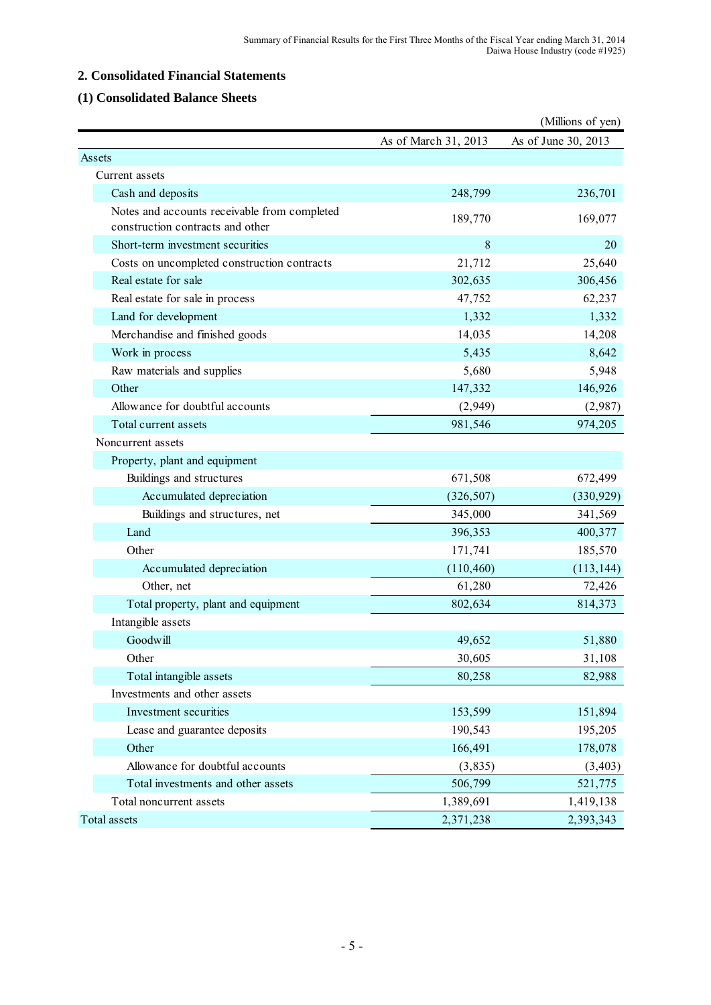# **2. Consolidated Financial Statements**

## **(1) Consolidated Balance Sheets**

|                                                                                  |                      | (Millions of yen)   |
|----------------------------------------------------------------------------------|----------------------|---------------------|
|                                                                                  | As of March 31, 2013 | As of June 30, 2013 |
| Assets                                                                           |                      |                     |
| Current assets                                                                   |                      |                     |
| Cash and deposits                                                                | 248,799              | 236,701             |
| Notes and accounts receivable from completed<br>construction contracts and other | 189,770              | 169,077             |
| Short-term investment securities                                                 | $\,8\,$              | 20                  |
| Costs on uncompleted construction contracts                                      | 21,712               | 25,640              |
| Real estate for sale                                                             | 302,635              | 306,456             |
| Real estate for sale in process                                                  | 47,752               | 62,237              |
| Land for development                                                             | 1,332                | 1,332               |
| Merchandise and finished goods                                                   | 14,035               | 14,208              |
| Work in process                                                                  | 5,435                | 8,642               |
| Raw materials and supplies                                                       | 5,680                | 5,948               |
| Other                                                                            | 147,332              | 146,926             |
| Allowance for doubtful accounts                                                  | (2,949)              | (2,987)             |
| Total current assets                                                             | 981,546              | 974,205             |
| Noncurrent assets                                                                |                      |                     |
| Property, plant and equipment                                                    |                      |                     |
| Buildings and structures                                                         | 671,508              | 672,499             |
| Accumulated depreciation                                                         | (326, 507)           | (330, 929)          |
| Buildings and structures, net                                                    | 345,000              | 341,569             |
| Land                                                                             | 396,353              | 400,377             |
| Other                                                                            | 171,741              | 185,570             |
| Accumulated depreciation                                                         | (110, 460)           | (113, 144)          |
| Other, net                                                                       | 61,280               | 72,426              |
| Total property, plant and equipment                                              | 802,634              | 814,373             |
| Intangible assets                                                                |                      |                     |
| Goodwill                                                                         | 49,652               | 51,880              |
| Other                                                                            | 30,605               | 31,108              |
| Total intangible assets                                                          | 80,258               | 82,988              |
| Investments and other assets                                                     |                      |                     |
| Investment securities                                                            | 153,599              | 151,894             |
| Lease and guarantee deposits                                                     | 190,543              | 195,205             |
| Other                                                                            | 166,491              | 178,078             |
| Allowance for doubtful accounts                                                  | (3, 835)             | (3, 403)            |
| Total investments and other assets                                               | 506,799              | 521,775             |
| Total noncurrent assets                                                          | 1,389,691            | 1,419,138           |
| Total assets                                                                     | 2,371,238            | 2,393,343           |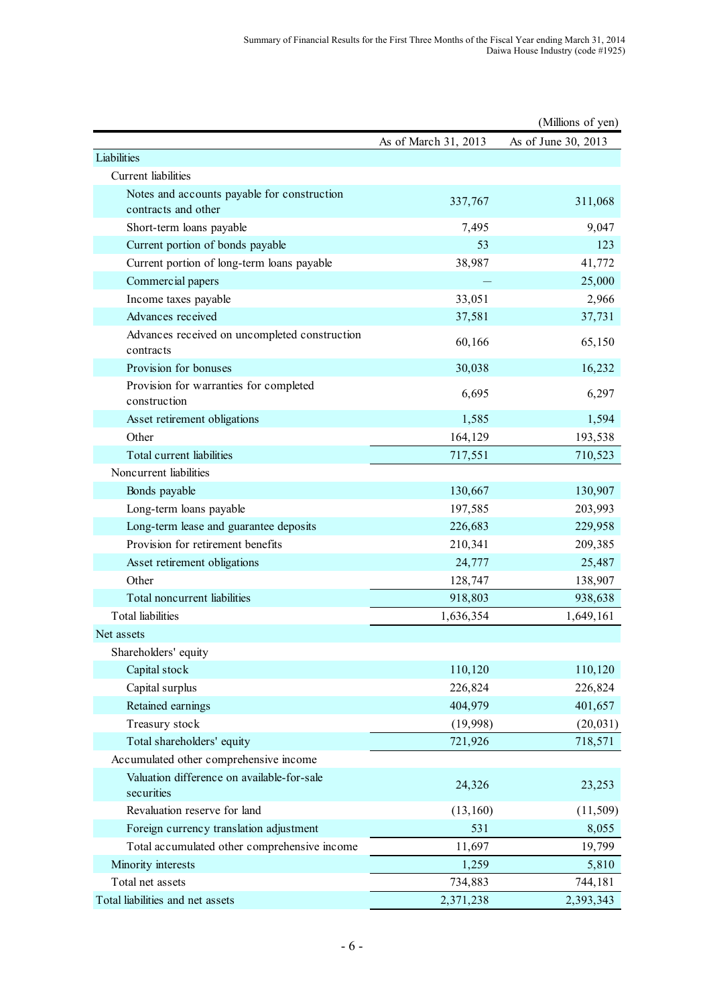|                                                            |                      | (Millions of yen)   |
|------------------------------------------------------------|----------------------|---------------------|
|                                                            | As of March 31, 2013 | As of June 30, 2013 |
| Liabilities                                                |                      |                     |
| Current liabilities                                        |                      |                     |
| Notes and accounts payable for construction                | 337,767              | 311,068             |
| contracts and other                                        |                      |                     |
| Short-term loans payable                                   | 7,495                | 9,047               |
| Current portion of bonds payable                           | 53                   | 123                 |
| Current portion of long-term loans payable                 | 38,987               | 41,772              |
| Commercial papers                                          |                      | 25,000              |
| Income taxes payable                                       | 33,051               | 2,966               |
| Advances received                                          | 37,581               | 37,731              |
| Advances received on uncompleted construction<br>contracts | 60,166               | 65,150              |
| Provision for bonuses                                      | 30,038               | 16,232              |
| Provision for warranties for completed<br>construction     | 6,695                | 6,297               |
| Asset retirement obligations                               | 1,585                | 1,594               |
| Other                                                      | 164,129              | 193,538             |
| Total current liabilities                                  | 717,551              | 710,523             |
| Noncurrent liabilities                                     |                      |                     |
| Bonds payable                                              | 130,667              | 130,907             |
| Long-term loans payable                                    | 197,585              | 203,993             |
| Long-term lease and guarantee deposits                     | 226,683              | 229,958             |
| Provision for retirement benefits                          | 210,341              | 209,385             |
| Asset retirement obligations                               | 24,777               | 25,487              |
| Other                                                      | 128,747              | 138,907             |
| Total noncurrent liabilities                               | 918,803              | 938,638             |
| <b>Total liabilities</b>                                   | 1,636,354            | 1,649,161           |
| Net assets                                                 |                      |                     |
| Shareholders' equity                                       |                      |                     |
| Capital stock                                              | 110,120              | 110,120             |
| Capital surplus                                            | 226,824              | 226,824             |
| Retained earnings                                          | 404,979              | 401,657             |
| Treasury stock                                             | (19,998)             | (20, 031)           |
| Total shareholders' equity                                 | 721,926              | 718,571             |
| Accumulated other comprehensive income                     |                      |                     |
| Valuation difference on available-for-sale<br>securities   | 24,326               | 23,253              |
| Revaluation reserve for land                               | (13,160)             | (11, 509)           |
| Foreign currency translation adjustment                    | 531                  | 8,055               |
| Total accumulated other comprehensive income               | 11,697               | 19,799              |
| Minority interests                                         | 1,259                | 5,810               |
| Total net assets                                           | 734,883              | 744,181             |
| Total liabilities and net assets                           | 2,371,238            | 2,393,343           |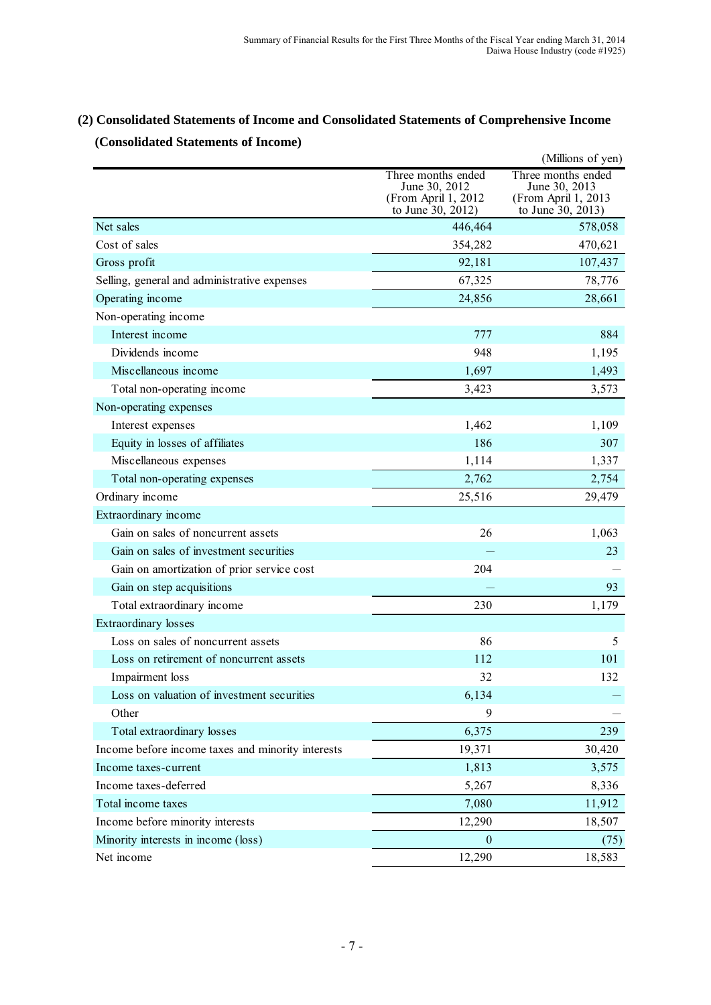# **(2) Consolidated Statements of Income and Consolidated Statements of Comprehensive Income (Consolidated Statements of Income)**

|                                                   |                                                                                 | (Millions of yen)                                                               |
|---------------------------------------------------|---------------------------------------------------------------------------------|---------------------------------------------------------------------------------|
|                                                   | Three months ended<br>June 30, 2012<br>(From April 1, 2012<br>to June 30, 2012) | Three months ended<br>June 30, 2013<br>(From April 1, 2013<br>to June 30, 2013) |
| Net sales                                         | 446,464                                                                         | 578,058                                                                         |
| Cost of sales                                     | 354,282                                                                         | 470,621                                                                         |
| Gross profit                                      | 92,181                                                                          | 107,437                                                                         |
| Selling, general and administrative expenses      | 67,325                                                                          | 78,776                                                                          |
| Operating income                                  | 24,856                                                                          | 28,661                                                                          |
| Non-operating income                              |                                                                                 |                                                                                 |
| Interest income                                   | 777                                                                             | 884                                                                             |
| Dividends income                                  | 948                                                                             | 1,195                                                                           |
| Miscellaneous income                              | 1,697                                                                           | 1,493                                                                           |
| Total non-operating income                        | 3,423                                                                           | 3,573                                                                           |
| Non-operating expenses                            |                                                                                 |                                                                                 |
| Interest expenses                                 | 1,462                                                                           | 1,109                                                                           |
| Equity in losses of affiliates                    | 186                                                                             | 307                                                                             |
| Miscellaneous expenses                            | 1,114                                                                           | 1,337                                                                           |
| Total non-operating expenses                      | 2,762                                                                           | 2,754                                                                           |
| Ordinary income                                   | 25,516                                                                          | 29,479                                                                          |
| Extraordinary income                              |                                                                                 |                                                                                 |
| Gain on sales of noncurrent assets                | 26                                                                              | 1,063                                                                           |
| Gain on sales of investment securities            |                                                                                 | 23                                                                              |
| Gain on amortization of prior service cost        | 204                                                                             |                                                                                 |
| Gain on step acquisitions                         |                                                                                 | 93                                                                              |
| Total extraordinary income                        | 230                                                                             | 1,179                                                                           |
| <b>Extraordinary losses</b>                       |                                                                                 |                                                                                 |
| Loss on sales of noncurrent assets                | 86                                                                              | 5                                                                               |
| Loss on retirement of noncurrent assets           | 112                                                                             | 101                                                                             |
| Impairment loss                                   | 32                                                                              | 132                                                                             |
| Loss on valuation of investment securities        | 6,134                                                                           |                                                                                 |
| Other                                             | 9                                                                               |                                                                                 |
| Total extraordinary losses                        | 6,375                                                                           | 239                                                                             |
| Income before income taxes and minority interests | 19,371                                                                          | 30,420                                                                          |
| Income taxes-current                              | 1,813                                                                           | 3,575                                                                           |
| Income taxes-deferred                             | 5,267                                                                           | 8,336                                                                           |
| Total income taxes                                | 7,080                                                                           | 11,912                                                                          |
| Income before minority interests                  | 12,290                                                                          | 18,507                                                                          |
| Minority interests in income (loss)               | $\boldsymbol{0}$                                                                | (75)                                                                            |
| Net income                                        | 12,290                                                                          | 18,583                                                                          |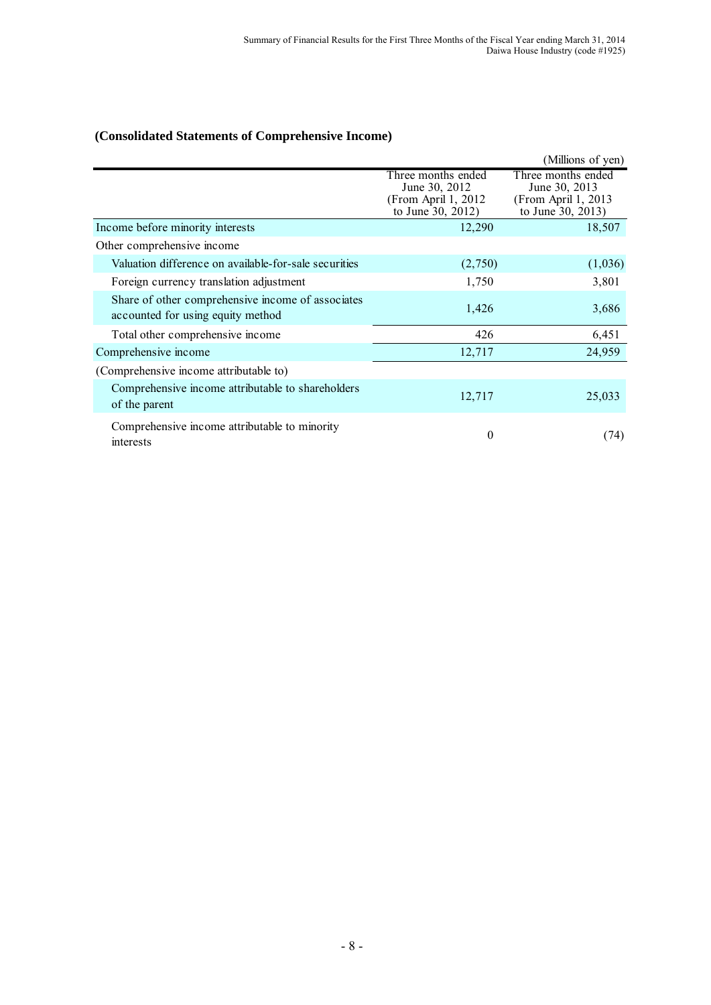# **(Consolidated Statements of Comprehensive Income)**

|                                                                                        |                                                                                  | (Millions of yen)                                                                |
|----------------------------------------------------------------------------------------|----------------------------------------------------------------------------------|----------------------------------------------------------------------------------|
|                                                                                        | Three months ended<br>June 30, 2012<br>(From April 1, 2012)<br>to June 30, 2012) | Three months ended<br>June 30, 2013<br>(From April 1, 2013)<br>to June 30, 2013) |
| Income before minority interests                                                       | 12,290                                                                           | 18,507                                                                           |
| Other comprehensive income                                                             |                                                                                  |                                                                                  |
| Valuation difference on available-for-sale securities                                  | (2,750)                                                                          | (1,036)                                                                          |
| Foreign currency translation adjustment                                                | 1,750                                                                            | 3,801                                                                            |
| Share of other comprehensive income of associates<br>accounted for using equity method | 1,426                                                                            | 3,686                                                                            |
| Total other comprehensive income                                                       | 426                                                                              | 6,451                                                                            |
| Comprehensive income                                                                   | 12,717                                                                           | 24,959                                                                           |
| (Comprehensive income attributable to)                                                 |                                                                                  |                                                                                  |
| Comprehensive income attributable to shareholders<br>of the parent                     | 12,717                                                                           | 25,033                                                                           |
| Comprehensive income attributable to minority<br>interests                             | $\overline{0}$                                                                   | (74)                                                                             |